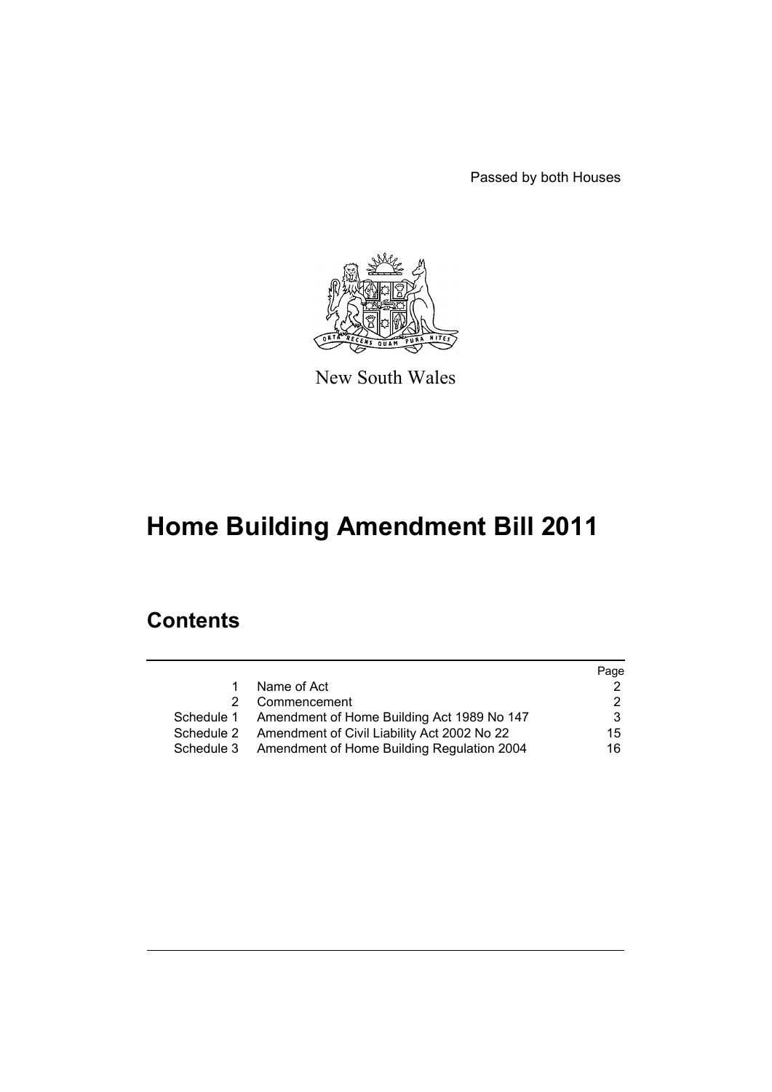Passed by both Houses



New South Wales

# **Home Building Amendment Bill 2011**

# **Contents**

|    |                                                        | Page |
|----|--------------------------------------------------------|------|
| 1. | Name of Act                                            |      |
| 2  | Commencement                                           | 2.   |
|    | Schedule 1 Amendment of Home Building Act 1989 No 147  | 3    |
|    | Schedule 2 Amendment of Civil Liability Act 2002 No 22 | 15   |
|    | Schedule 3 Amendment of Home Building Regulation 2004  | 16   |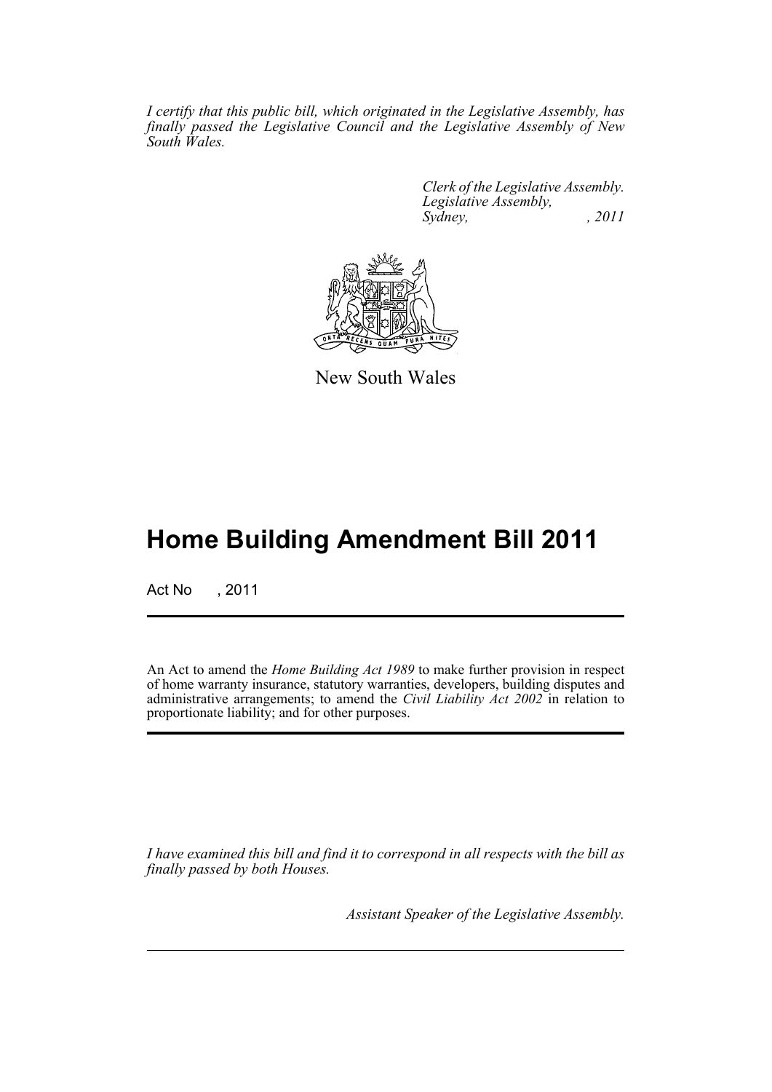*I certify that this public bill, which originated in the Legislative Assembly, has finally passed the Legislative Council and the Legislative Assembly of New South Wales.*

> *Clerk of the Legislative Assembly. Legislative Assembly, Sydney, , 2011*



New South Wales

# **Home Building Amendment Bill 2011**

Act No , 2011

An Act to amend the *Home Building Act 1989* to make further provision in respect of home warranty insurance, statutory warranties, developers, building disputes and administrative arrangements; to amend the *Civil Liability Act 2002* in relation to proportionate liability; and for other purposes.

*I have examined this bill and find it to correspond in all respects with the bill as finally passed by both Houses.*

*Assistant Speaker of the Legislative Assembly.*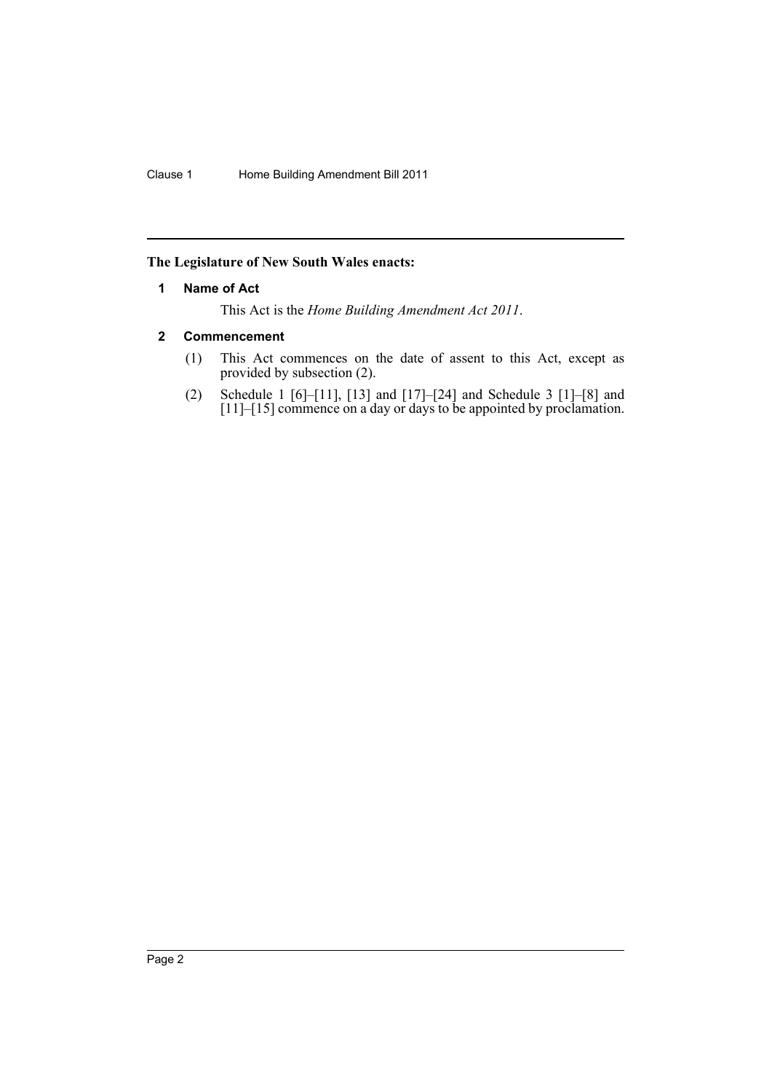# <span id="page-2-0"></span>**The Legislature of New South Wales enacts:**

# **1 Name of Act**

This Act is the *Home Building Amendment Act 2011*.

# <span id="page-2-1"></span>**2 Commencement**

- (1) This Act commences on the date of assent to this Act, except as provided by subsection (2).
- (2) Schedule 1 [6]–[11], [13] and [17]–[24] and Schedule 3 [1]–[8] and [11]–[15] commence on a day or days to be appointed by proclamation.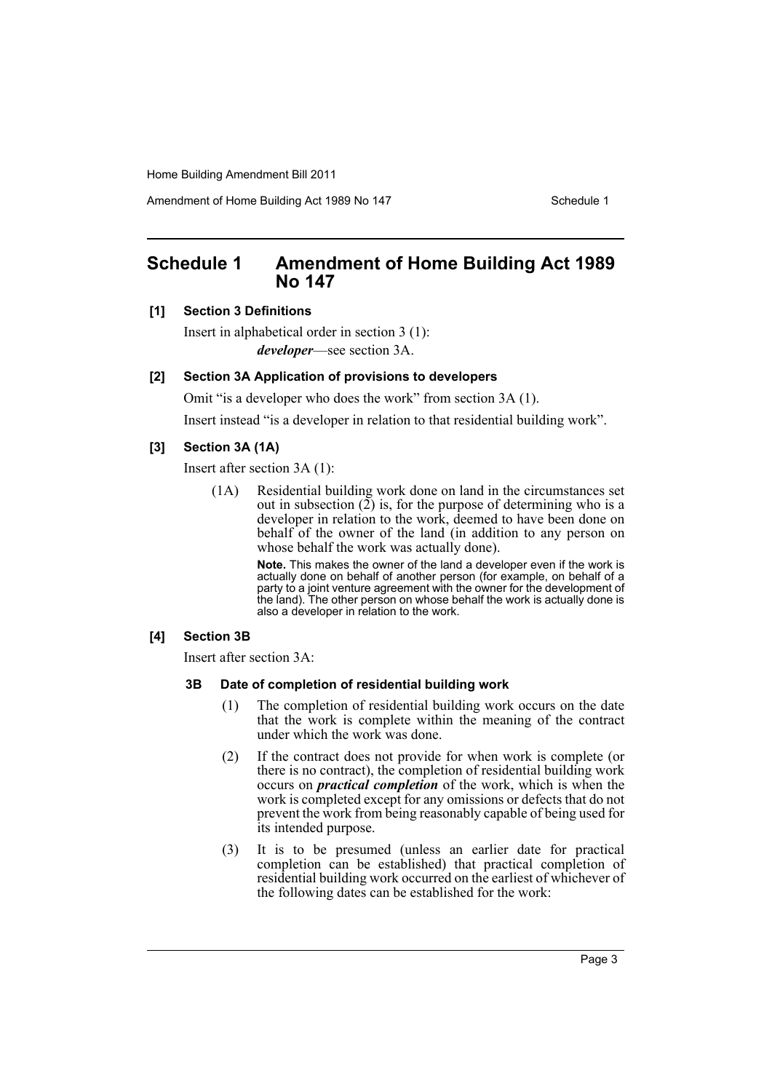Amendment of Home Building Act 1989 No 147 **Schedule 1** Schedule 1

# <span id="page-3-0"></span>**Schedule 1 Amendment of Home Building Act 1989 No 147**

# **[1] Section 3 Definitions**

Insert in alphabetical order in section 3 (1): *developer*—see section 3A.

#### **[2] Section 3A Application of provisions to developers**

Omit "is a developer who does the work" from section 3A (1).

Insert instead "is a developer in relation to that residential building work".

#### **[3] Section 3A (1A)**

Insert after section 3A (1):

(1A) Residential building work done on land in the circumstances set out in subsection  $(2)$  is, for the purpose of determining who is a developer in relation to the work, deemed to have been done on behalf of the owner of the land (in addition to any person on whose behalf the work was actually done).

> **Note.** This makes the owner of the land a developer even if the work is actually done on behalf of another person (for example, on behalf of a party to a joint venture agreement with the owner for the development of the land). The other person on whose behalf the work is actually done is also a developer in relation to the work.

#### **[4] Section 3B**

Insert after section 3A:

#### **3B Date of completion of residential building work**

- (1) The completion of residential building work occurs on the date that the work is complete within the meaning of the contract under which the work was done.
- (2) If the contract does not provide for when work is complete (or there is no contract), the completion of residential building work occurs on *practical completion* of the work, which is when the work is completed except for any omissions or defects that do not prevent the work from being reasonably capable of being used for its intended purpose.
- (3) It is to be presumed (unless an earlier date for practical completion can be established) that practical completion of residential building work occurred on the earliest of whichever of the following dates can be established for the work: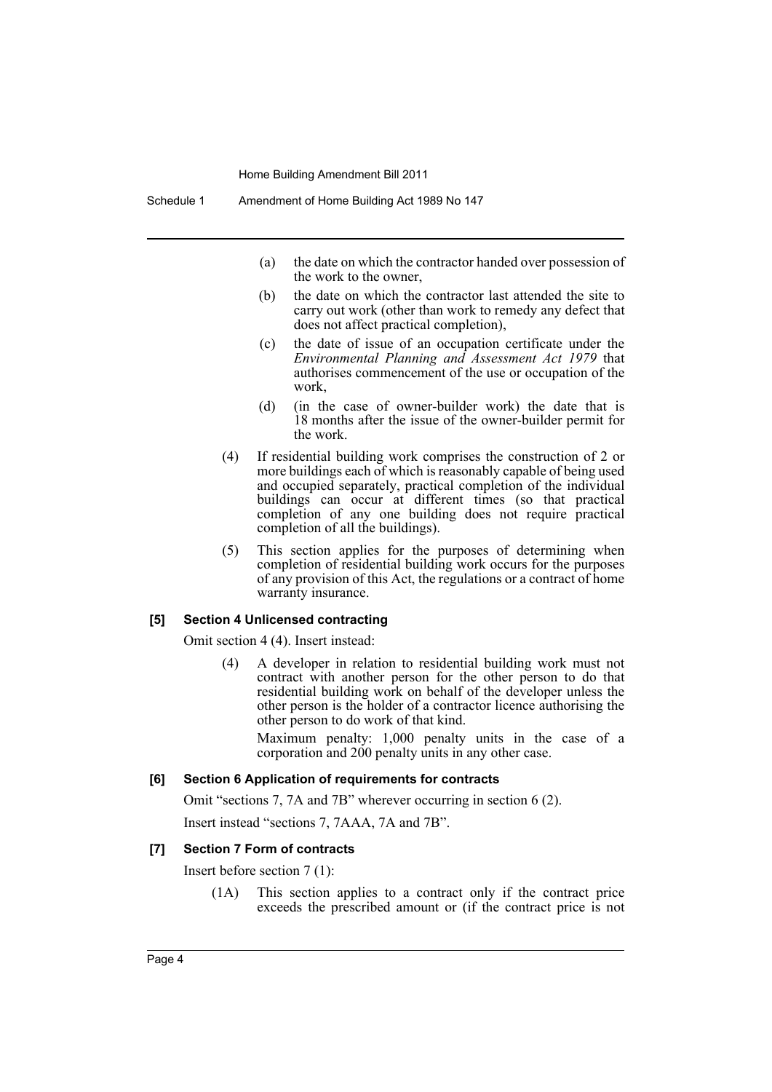- (a) the date on which the contractor handed over possession of the work to the owner,
- (b) the date on which the contractor last attended the site to carry out work (other than work to remedy any defect that does not affect practical completion),
- (c) the date of issue of an occupation certificate under the *Environmental Planning and Assessment Act 1979* that authorises commencement of the use or occupation of the work,
- (d) (in the case of owner-builder work) the date that is 18 months after the issue of the owner-builder permit for the work.
- (4) If residential building work comprises the construction of 2 or more buildings each of which is reasonably capable of being used and occupied separately, practical completion of the individual buildings can occur at different times (so that practical completion of any one building does not require practical completion of all the buildings).
- (5) This section applies for the purposes of determining when completion of residential building work occurs for the purposes of any provision of this Act, the regulations or a contract of home warranty insurance.

#### **[5] Section 4 Unlicensed contracting**

Omit section 4 (4). Insert instead:

(4) A developer in relation to residential building work must not contract with another person for the other person to do that residential building work on behalf of the developer unless the other person is the holder of a contractor licence authorising the other person to do work of that kind.

Maximum penalty: 1,000 penalty units in the case of a corporation and 200 penalty units in any other case.

#### **[6] Section 6 Application of requirements for contracts**

Omit "sections 7, 7A and 7B" wherever occurring in section 6 (2).

Insert instead "sections 7, 7AAA, 7A and 7B".

#### **[7] Section 7 Form of contracts**

Insert before section 7 (1):

(1A) This section applies to a contract only if the contract price exceeds the prescribed amount or (if the contract price is not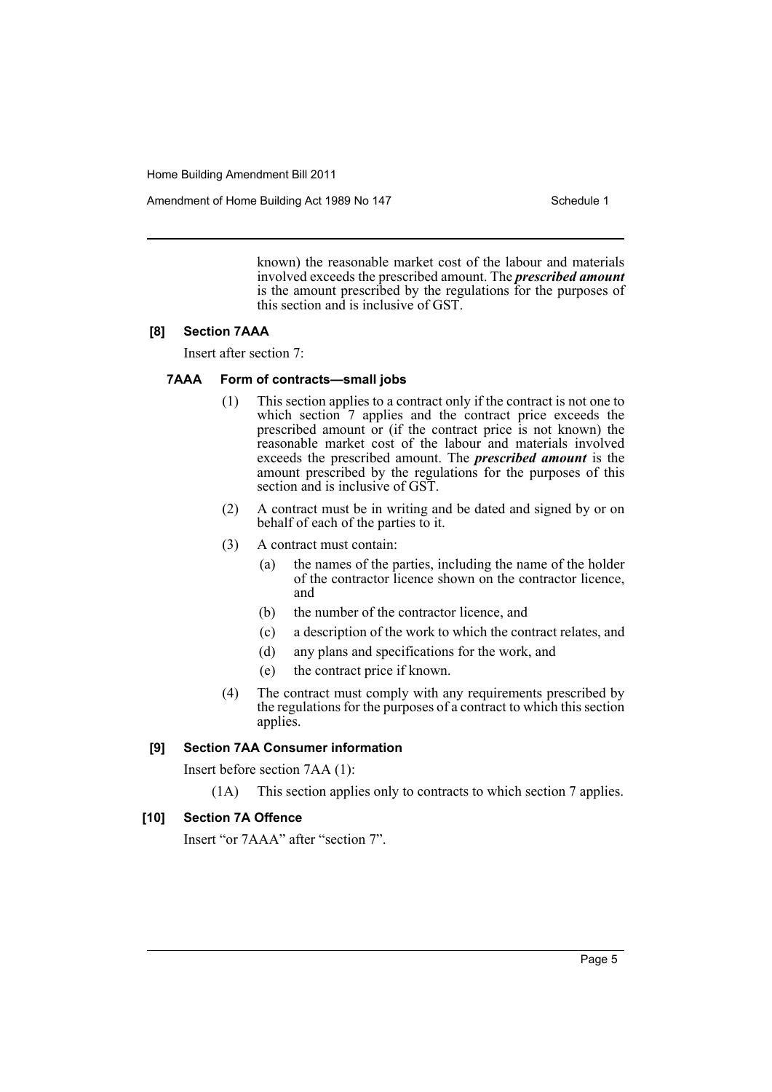Amendment of Home Building Act 1989 No 147 **Schedule 1** Schedule 1

known) the reasonable market cost of the labour and materials involved exceeds the prescribed amount. The *prescribed amount* is the amount prescribed by the regulations for the purposes of this section and is inclusive of GST.

### **[8] Section 7AAA**

Insert after section 7:

# **7AAA Form of contracts—small jobs**

- (1) This section applies to a contract only if the contract is not one to which section 7 applies and the contract price exceeds the prescribed amount or (if the contract price is not known) the reasonable market cost of the labour and materials involved exceeds the prescribed amount. The *prescribed amount* is the amount prescribed by the regulations for the purposes of this section and is inclusive of GST.
- (2) A contract must be in writing and be dated and signed by or on behalf of each of the parties to it.
- (3) A contract must contain:
	- (a) the names of the parties, including the name of the holder of the contractor licence shown on the contractor licence, and
	- (b) the number of the contractor licence, and
	- (c) a description of the work to which the contract relates, and
	- (d) any plans and specifications for the work, and
	- (e) the contract price if known.
- (4) The contract must comply with any requirements prescribed by the regulations for the purposes of a contract to which this section applies.

#### **[9] Section 7AA Consumer information**

Insert before section 7AA (1):

(1A) This section applies only to contracts to which section 7 applies.

#### **[10] Section 7A Offence**

Insert "or 7AAA" after "section 7".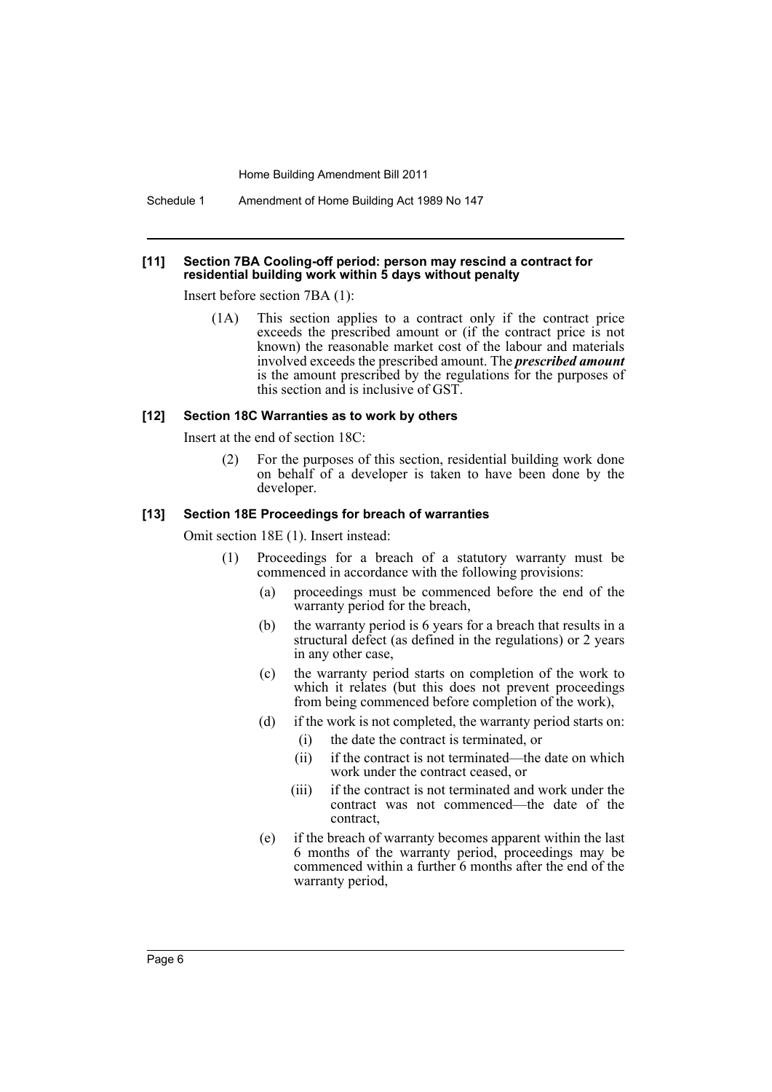Schedule 1 Amendment of Home Building Act 1989 No 147

#### **[11] Section 7BA Cooling-off period: person may rescind a contract for residential building work within 5 days without penalty**

Insert before section 7BA (1):

(1A) This section applies to a contract only if the contract price exceeds the prescribed amount or (if the contract price is not known) the reasonable market cost of the labour and materials involved exceeds the prescribed amount. The *prescribed amount* is the amount prescribed by the regulations for the purposes of this section and is inclusive of GST.

#### **[12] Section 18C Warranties as to work by others**

Insert at the end of section 18C:

(2) For the purposes of this section, residential building work done on behalf of a developer is taken to have been done by the developer.

#### **[13] Section 18E Proceedings for breach of warranties**

Omit section 18E (1). Insert instead:

- (1) Proceedings for a breach of a statutory warranty must be commenced in accordance with the following provisions:
	- (a) proceedings must be commenced before the end of the warranty period for the breach,
	- (b) the warranty period is 6 years for a breach that results in a structural defect (as defined in the regulations) or 2 years in any other case,
	- (c) the warranty period starts on completion of the work to which it relates (but this does not prevent proceedings) from being commenced before completion of the work),
	- (d) if the work is not completed, the warranty period starts on:
		- (i) the date the contract is terminated, or
		- (ii) if the contract is not terminated—the date on which work under the contract ceased, or
		- (iii) if the contract is not terminated and work under the contract was not commenced—the date of the contract,
	- (e) if the breach of warranty becomes apparent within the last 6 months of the warranty period, proceedings may be commenced within a further 6 months after the end of the warranty period,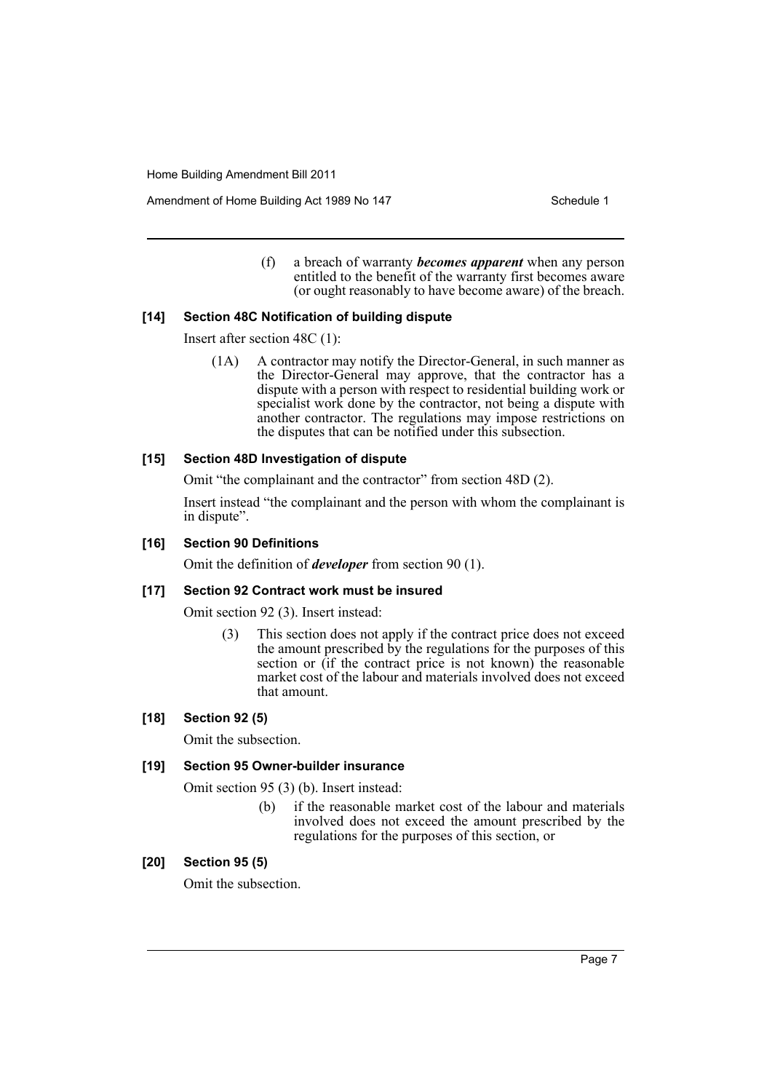Amendment of Home Building Act 1989 No 147 **Schedule 1** Schedule 1

(f) a breach of warranty *becomes apparent* when any person entitled to the benefit of the warranty first becomes aware (or ought reasonably to have become aware) of the breach.

#### **[14] Section 48C Notification of building dispute**

Insert after section 48C (1):

(1A) A contractor may notify the Director-General, in such manner as the Director-General may approve, that the contractor has a dispute with a person with respect to residential building work or specialist work done by the contractor, not being a dispute with another contractor. The regulations may impose restrictions on the disputes that can be notified under this subsection.

#### **[15] Section 48D Investigation of dispute**

Omit "the complainant and the contractor" from section 48D (2).

Insert instead "the complainant and the person with whom the complainant is in dispute".

# **[16] Section 90 Definitions**

Omit the definition of *developer* from section 90 (1).

# **[17] Section 92 Contract work must be insured**

Omit section 92 (3). Insert instead:

(3) This section does not apply if the contract price does not exceed the amount prescribed by the regulations for the purposes of this section or (if the contract price is not known) the reasonable market cost of the labour and materials involved does not exceed that amount.

# **[18] Section 92 (5)**

Omit the subsection.

## **[19] Section 95 Owner-builder insurance**

Omit section 95 (3) (b). Insert instead:

(b) if the reasonable market cost of the labour and materials involved does not exceed the amount prescribed by the regulations for the purposes of this section, or

# **[20] Section 95 (5)**

Omit the subsection.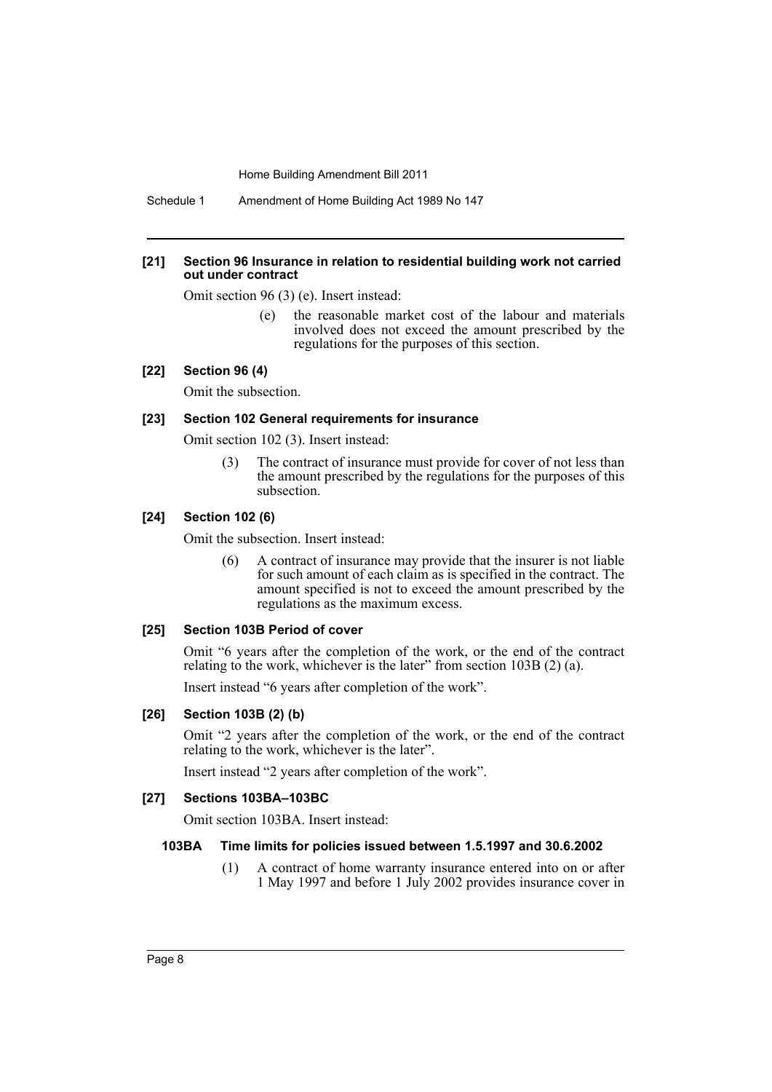Schedule 1 Amendment of Home Building Act 1989 No 147

#### **[21] Section 96 Insurance in relation to residential building work not carried out under contract**

Omit section 96 (3) (e). Insert instead:

(e) the reasonable market cost of the labour and materials involved does not exceed the amount prescribed by the regulations for the purposes of this section.

#### **[22] Section 96 (4)**

Omit the subsection.

#### **[23] Section 102 General requirements for insurance**

Omit section 102 (3). Insert instead:

(3) The contract of insurance must provide for cover of not less than the amount prescribed by the regulations for the purposes of this subsection.

#### **[24] Section 102 (6)**

Omit the subsection. Insert instead:

(6) A contract of insurance may provide that the insurer is not liable for such amount of each claim as is specified in the contract. The amount specified is not to exceed the amount prescribed by the regulations as the maximum excess.

#### **[25] Section 103B Period of cover**

Omit "6 years after the completion of the work, or the end of the contract relating to the work, whichever is the later" from section 103B (2) (a).

Insert instead "6 years after completion of the work".

### **[26] Section 103B (2) (b)**

Omit "2 years after the completion of the work, or the end of the contract relating to the work, whichever is the later".

Insert instead "2 years after completion of the work".

## **[27] Sections 103BA–103BC**

Omit section 103BA. Insert instead:

#### **103BA Time limits for policies issued between 1.5.1997 and 30.6.2002**

(1) A contract of home warranty insurance entered into on or after 1 May 1997 and before 1 July 2002 provides insurance cover in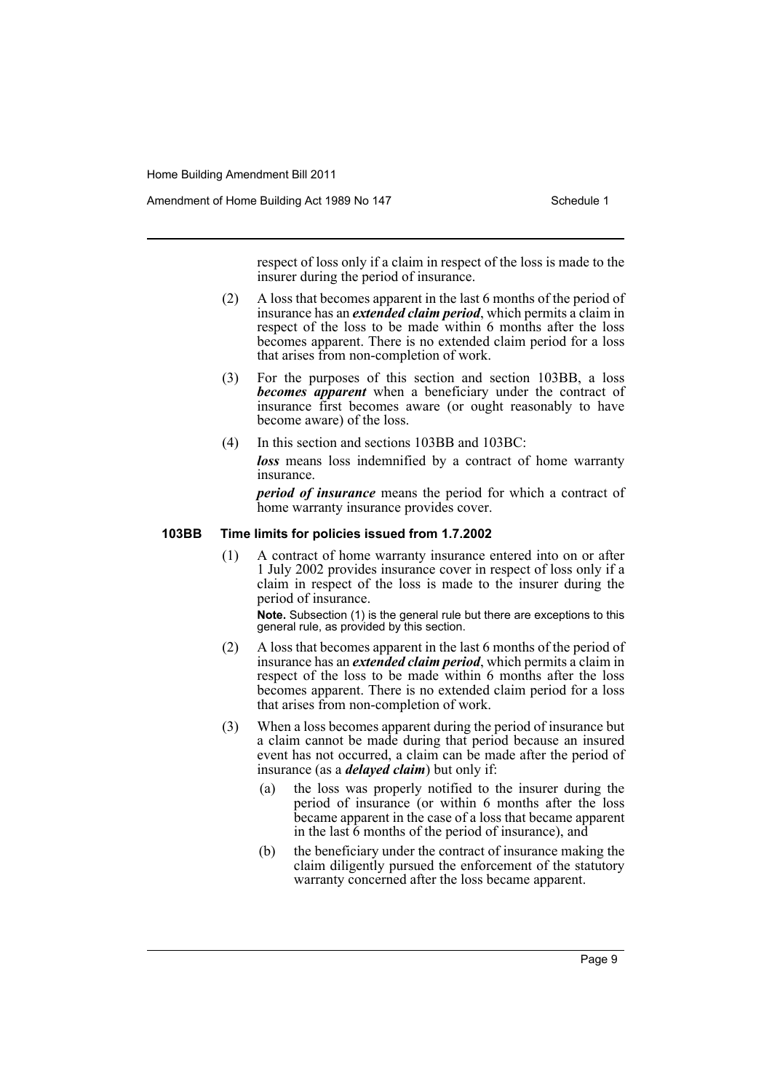Amendment of Home Building Act 1989 No 147 **Schedule 1** Schedule 1

respect of loss only if a claim in respect of the loss is made to the insurer during the period of insurance.

- (2) A loss that becomes apparent in the last 6 months of the period of insurance has an *extended claim period*, which permits a claim in respect of the loss to be made within 6 months after the loss becomes apparent. There is no extended claim period for a loss that arises from non-completion of work.
- (3) For the purposes of this section and section 103BB, a loss *becomes apparent* when a beneficiary under the contract of insurance first becomes aware (or ought reasonably to have become aware) of the loss.
- (4) In this section and sections 103BB and 103BC: *loss* means loss indemnified by a contract of home warranty insurance.

*period of insurance* means the period for which a contract of home warranty insurance provides cover.

# **103BB Time limits for policies issued from 1.7.2002**

(1) A contract of home warranty insurance entered into on or after 1 July 2002 provides insurance cover in respect of loss only if a claim in respect of the loss is made to the insurer during the period of insurance.

**Note.** Subsection (1) is the general rule but there are exceptions to this general rule, as provided by this section.

- (2) A loss that becomes apparent in the last 6 months of the period of insurance has an *extended claim period*, which permits a claim in respect of the loss to be made within 6 months after the loss becomes apparent. There is no extended claim period for a loss that arises from non-completion of work.
- (3) When a loss becomes apparent during the period of insurance but a claim cannot be made during that period because an insured event has not occurred, a claim can be made after the period of insurance (as a *delayed claim*) but only if:
	- (a) the loss was properly notified to the insurer during the period of insurance (or within 6 months after the loss became apparent in the case of a loss that became apparent in the last 6 months of the period of insurance), and
	- (b) the beneficiary under the contract of insurance making the claim diligently pursued the enforcement of the statutory warranty concerned after the loss became apparent.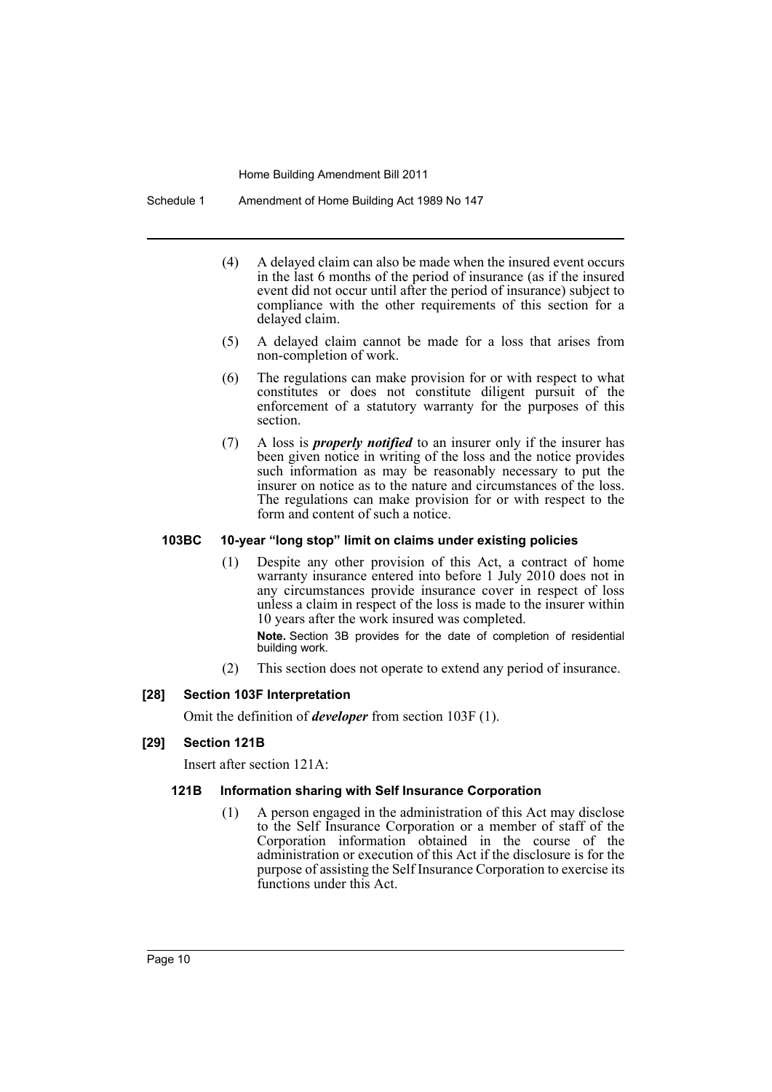Schedule 1 Amendment of Home Building Act 1989 No 147

- (4) A delayed claim can also be made when the insured event occurs in the last 6 months of the period of insurance (as if the insured event did not occur until after the period of insurance) subject to compliance with the other requirements of this section for a delayed claim.
- (5) A delayed claim cannot be made for a loss that arises from non-completion of work.
- (6) The regulations can make provision for or with respect to what constitutes or does not constitute diligent pursuit of the enforcement of a statutory warranty for the purposes of this section.
- (7) A loss is *properly notified* to an insurer only if the insurer has been given notice in writing of the loss and the notice provides such information as may be reasonably necessary to put the insurer on notice as to the nature and circumstances of the loss. The regulations can make provision for or with respect to the form and content of such a notice.

# **103BC 10-year "long stop" limit on claims under existing policies**

(1) Despite any other provision of this Act, a contract of home warranty insurance entered into before 1 July 2010 does not in any circumstances provide insurance cover in respect of loss unless a claim in respect of the loss is made to the insurer within 10 years after the work insured was completed.

**Note.** Section 3B provides for the date of completion of residential building work.

(2) This section does not operate to extend any period of insurance.

# **[28] Section 103F Interpretation**

Omit the definition of *developer* from section 103F (1).

#### **[29] Section 121B**

Insert after section 121A:

#### **121B Information sharing with Self Insurance Corporation**

(1) A person engaged in the administration of this Act may disclose to the Self Insurance Corporation or a member of staff of the Corporation information obtained in the course of the administration or execution of this Act if the disclosure is for the purpose of assisting the Self Insurance Corporation to exercise its functions under this Act.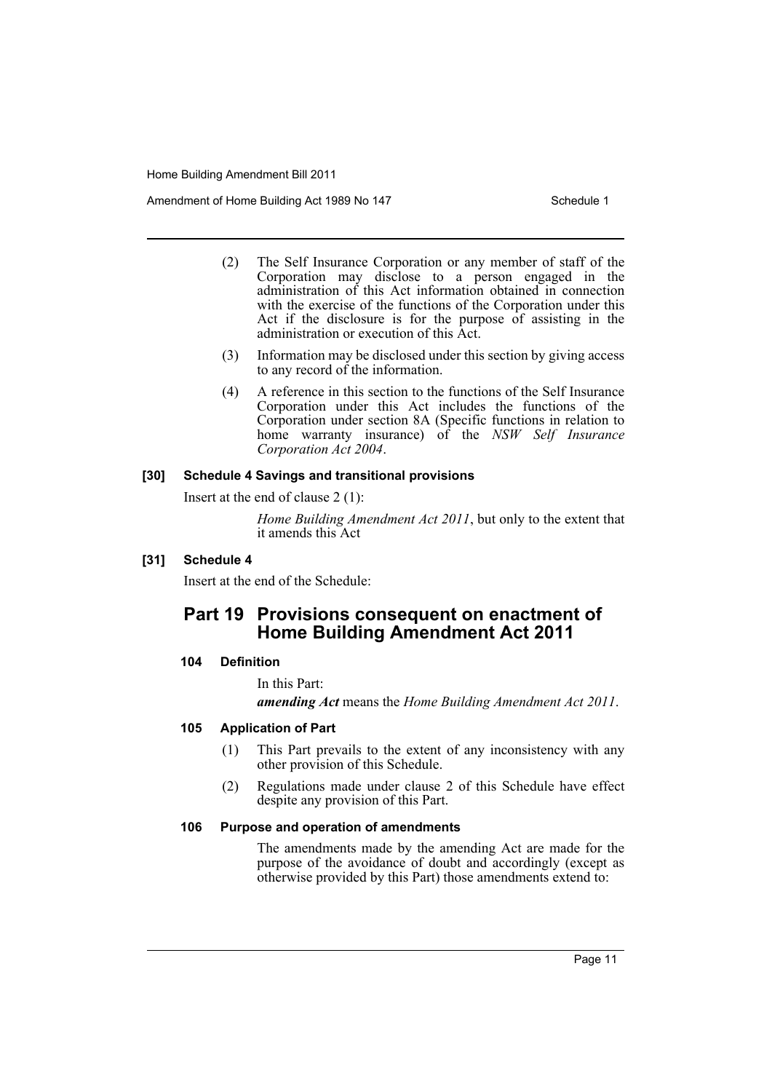Amendment of Home Building Act 1989 No 147 **Schedule 1** Schedule 1

- (2) The Self Insurance Corporation or any member of staff of the Corporation may disclose to a person engaged in the administration of this Act information obtained in connection with the exercise of the functions of the Corporation under this Act if the disclosure is for the purpose of assisting in the administration or execution of this Act.
- (3) Information may be disclosed under this section by giving access to any record of the information.
- (4) A reference in this section to the functions of the Self Insurance Corporation under this Act includes the functions of the Corporation under section 8A (Specific functions in relation to home warranty insurance) of the *NSW Self Insurance Corporation Act 2004*.

#### **[30] Schedule 4 Savings and transitional provisions**

Insert at the end of clause 2 (1):

*Home Building Amendment Act 2011*, but only to the extent that it amends this Act

# **[31] Schedule 4**

Insert at the end of the Schedule:

# **Part 19 Provisions consequent on enactment of Home Building Amendment Act 2011**

#### **104 Definition**

In this Part:

*amending Act* means the *Home Building Amendment Act 2011*.

#### **105 Application of Part**

- (1) This Part prevails to the extent of any inconsistency with any other provision of this Schedule.
- (2) Regulations made under clause 2 of this Schedule have effect despite any provision of this Part.

#### **106 Purpose and operation of amendments**

The amendments made by the amending Act are made for the purpose of the avoidance of doubt and accordingly (except as otherwise provided by this Part) those amendments extend to: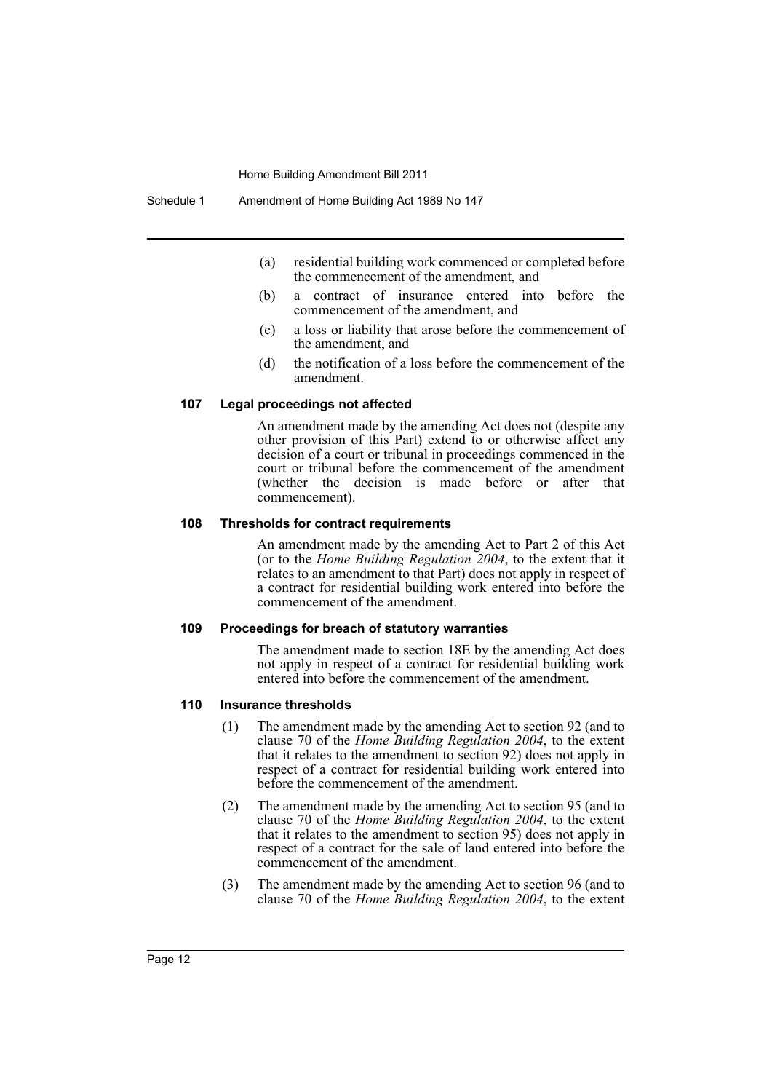- (a) residential building work commenced or completed before the commencement of the amendment, and
- (b) a contract of insurance entered into before the commencement of the amendment, and
- (c) a loss or liability that arose before the commencement of the amendment, and
- (d) the notification of a loss before the commencement of the amendment.

#### **107 Legal proceedings not affected**

An amendment made by the amending Act does not (despite any other provision of this Part) extend to or otherwise affect any decision of a court or tribunal in proceedings commenced in the court or tribunal before the commencement of the amendment (whether the decision is made before or after that commencement).

#### **108 Thresholds for contract requirements**

An amendment made by the amending Act to Part 2 of this Act (or to the *Home Building Regulation 2004*, to the extent that it relates to an amendment to that Part) does not apply in respect of a contract for residential building work entered into before the commencement of the amendment.

#### **109 Proceedings for breach of statutory warranties**

The amendment made to section 18E by the amending Act does not apply in respect of a contract for residential building work entered into before the commencement of the amendment.

#### **110 Insurance thresholds**

- (1) The amendment made by the amending Act to section 92 (and to clause 70 of the *Home Building Regulation 2004*, to the extent that it relates to the amendment to section 92) does not apply in respect of a contract for residential building work entered into before the commencement of the amendment.
- (2) The amendment made by the amending Act to section 95 (and to clause 70 of the *Home Building Regulation 2004*, to the extent that it relates to the amendment to section 95) does not apply in respect of a contract for the sale of land entered into before the commencement of the amendment.
- (3) The amendment made by the amending Act to section 96 (and to clause 70 of the *Home Building Regulation 2004*, to the extent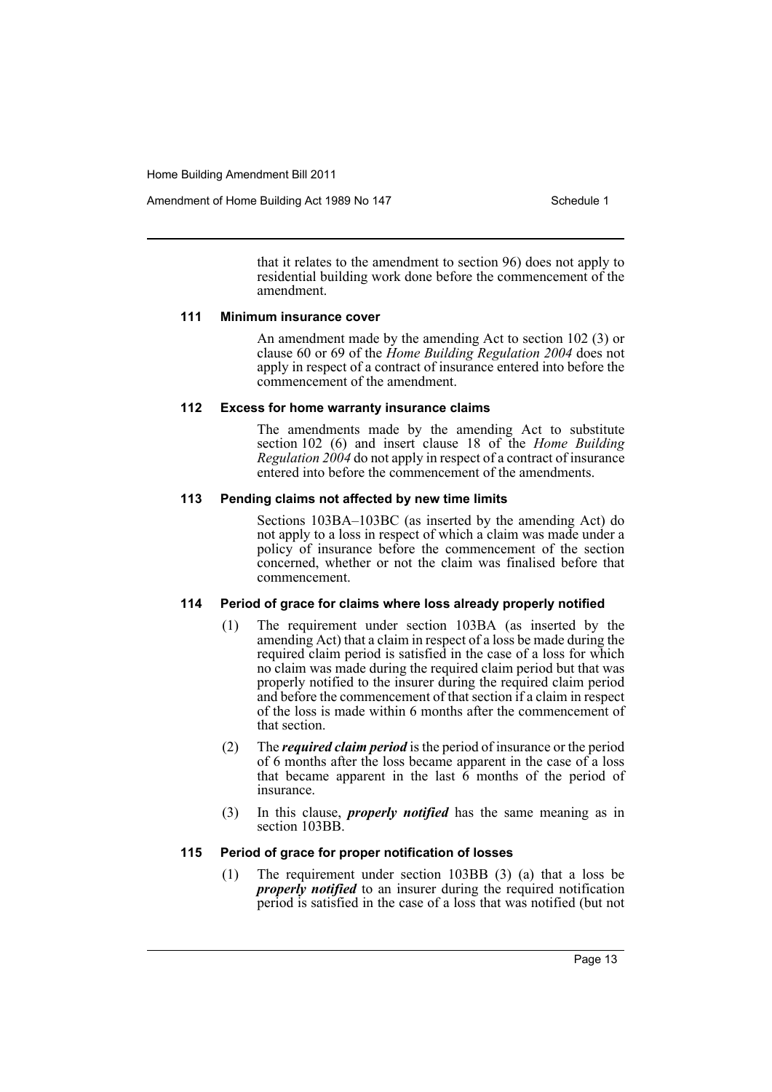Amendment of Home Building Act 1989 No 147 **Schedule 1** Schedule 1

that it relates to the amendment to section 96) does not apply to residential building work done before the commencement of the amendment.

#### **111 Minimum insurance cover**

An amendment made by the amending Act to section 102 (3) or clause 60 or 69 of the *Home Building Regulation 2004* does not apply in respect of a contract of insurance entered into before the commencement of the amendment.

# **112 Excess for home warranty insurance claims**

The amendments made by the amending Act to substitute section 102 (6) and insert clause 18 of the *Home Building Regulation 2004* do not apply in respect of a contract of insurance entered into before the commencement of the amendments.

# **113 Pending claims not affected by new time limits**

Sections 103BA–103BC (as inserted by the amending Act) do not apply to a loss in respect of which a claim was made under a policy of insurance before the commencement of the section concerned, whether or not the claim was finalised before that commencement.

# **114 Period of grace for claims where loss already properly notified**

- (1) The requirement under section 103BA (as inserted by the amending Act) that a claim in respect of a loss be made during the required claim period is satisfied in the case of a loss for which no claim was made during the required claim period but that was properly notified to the insurer during the required claim period and before the commencement of that section if a claim in respect of the loss is made within 6 months after the commencement of that section.
- (2) The *required claim period* is the period of insurance or the period of 6 months after the loss became apparent in the case of a loss that became apparent in the last  $6$  months of the period of insurance.
- (3) In this clause, *properly notified* has the same meaning as in section 103BB.

# **115 Period of grace for proper notification of losses**

(1) The requirement under section 103BB (3) (a) that a loss be *properly notified* to an insurer during the required notification period is satisfied in the case of a loss that was notified (but not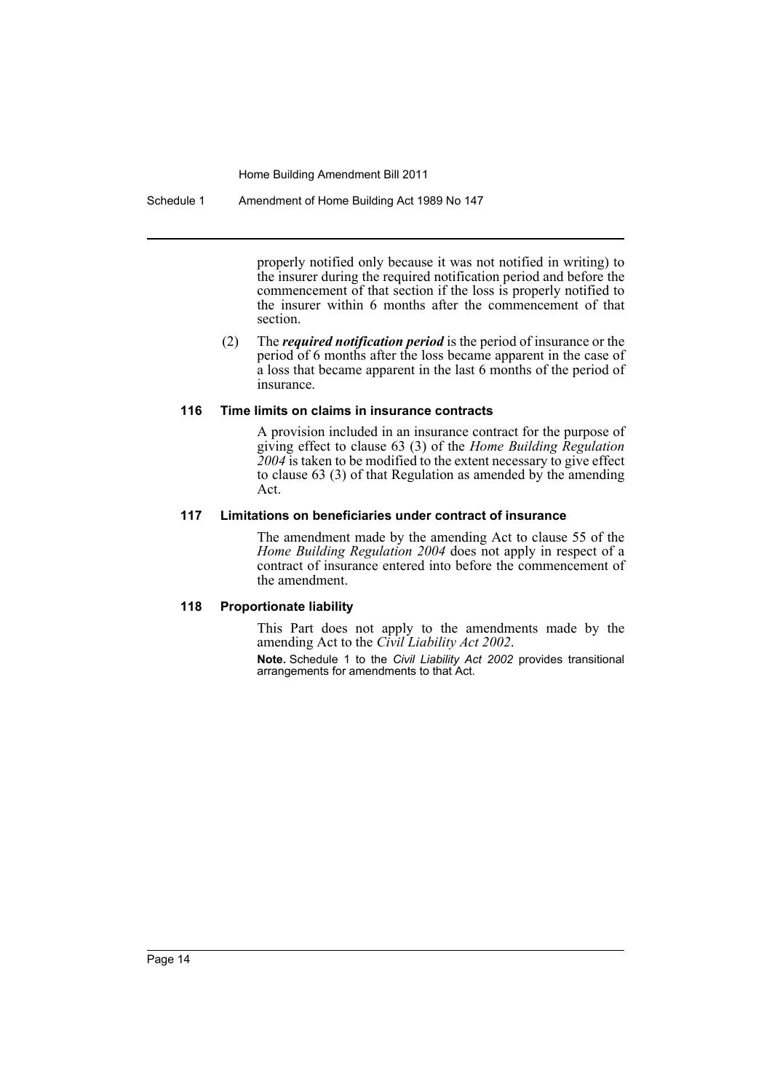Schedule 1 Amendment of Home Building Act 1989 No 147

properly notified only because it was not notified in writing) to the insurer during the required notification period and before the commencement of that section if the loss is properly notified to the insurer within 6 months after the commencement of that section.

(2) The *required notification period* is the period of insurance or the period of 6 months after the loss became apparent in the case of a loss that became apparent in the last 6 months of the period of insurance.

# **116 Time limits on claims in insurance contracts**

A provision included in an insurance contract for the purpose of giving effect to clause 63 (3) of the *Home Building Regulation 2004* is taken to be modified to the extent necessary to give effect to clause 63 (3) of that Regulation as amended by the amending Act.

# **117 Limitations on beneficiaries under contract of insurance**

The amendment made by the amending Act to clause 55 of the *Home Building Regulation 2004* does not apply in respect of a contract of insurance entered into before the commencement of the amendment.

# **118 Proportionate liability**

This Part does not apply to the amendments made by the amending Act to the *Civil Liability Act 2002*.

**Note.** Schedule 1 to the *Civil Liability Act 2002* provides transitional arrangements for amendments to that Act.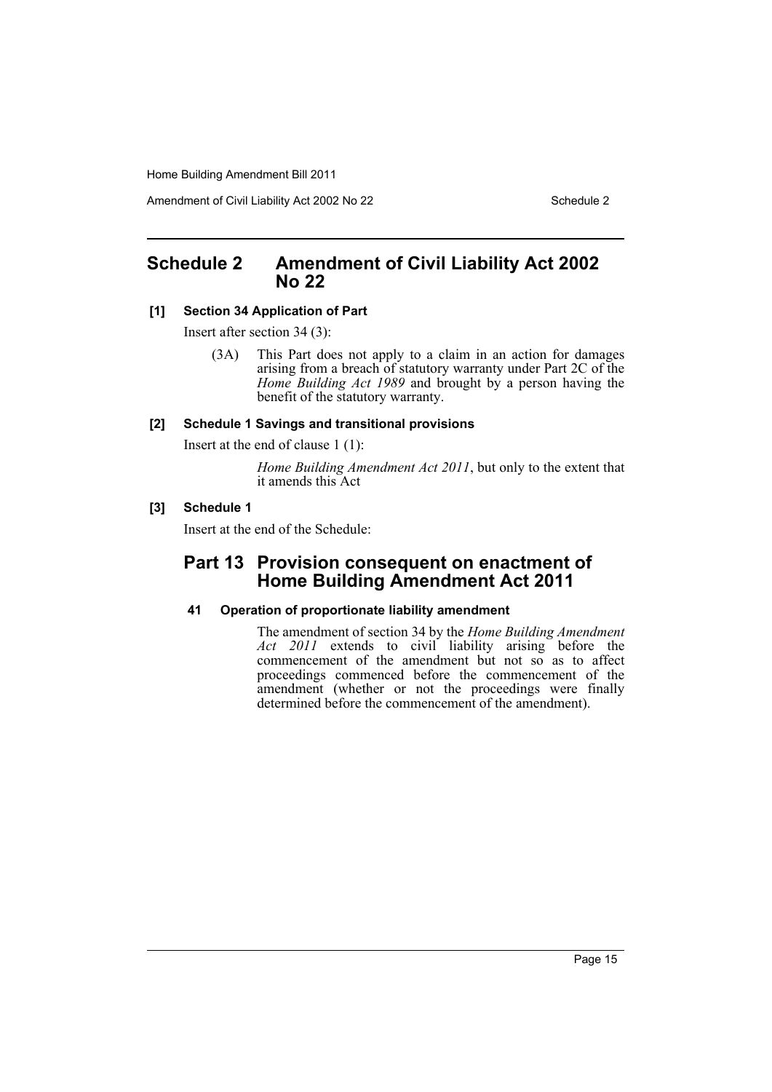Amendment of Civil Liability Act 2002 No 22 Schedule 2

# <span id="page-15-0"></span>**Schedule 2 Amendment of Civil Liability Act 2002 No 22**

# **[1] Section 34 Application of Part**

Insert after section 34 (3):

(3A) This Part does not apply to a claim in an action for damages arising from a breach of statutory warranty under Part 2C of the *Home Building Act 1989* and brought by a person having the benefit of the statutory warranty.

### **[2] Schedule 1 Savings and transitional provisions**

Insert at the end of clause 1 (1):

*Home Building Amendment Act 2011*, but only to the extent that it amends this Act

# **[3] Schedule 1**

Insert at the end of the Schedule:

# **Part 13 Provision consequent on enactment of Home Building Amendment Act 2011**

# **41 Operation of proportionate liability amendment**

The amendment of section 34 by the *Home Building Amendment Act 2011* extends to civil liability arising before the commencement of the amendment but not so as to affect proceedings commenced before the commencement of the amendment (whether or not the proceedings were finally determined before the commencement of the amendment).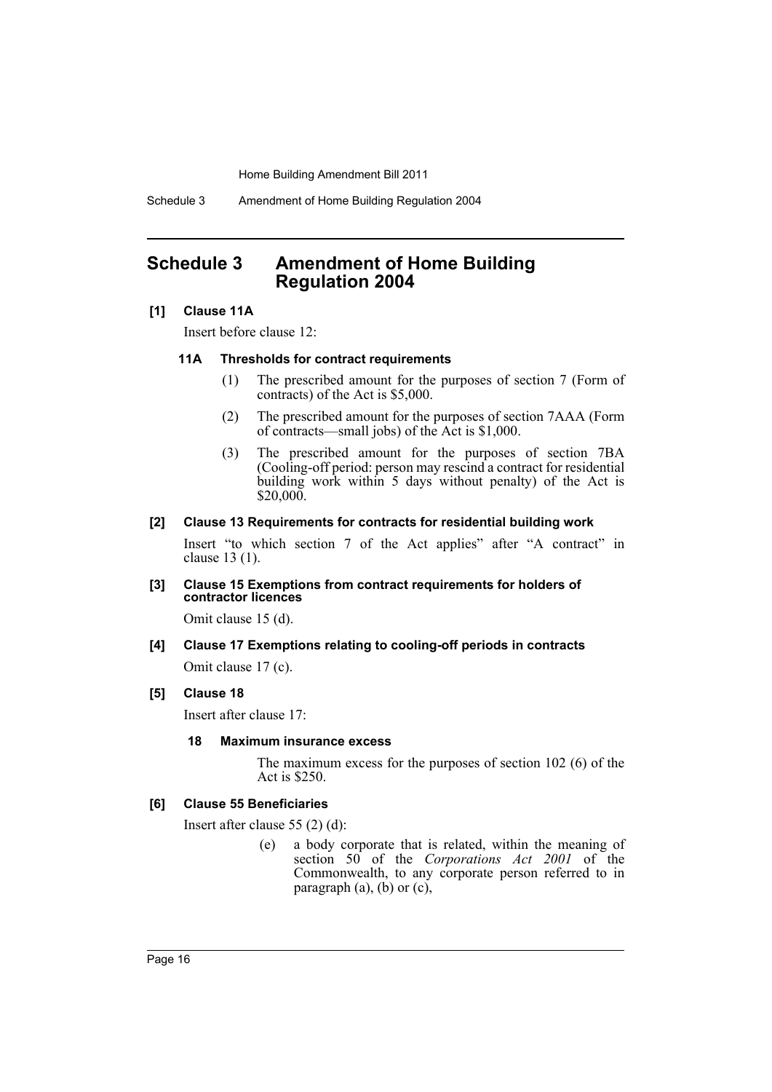Schedule 3 Amendment of Home Building Regulation 2004

# <span id="page-16-0"></span>**Schedule 3 Amendment of Home Building Regulation 2004**

# **[1] Clause 11A**

Insert before clause 12:

#### **11A Thresholds for contract requirements**

- (1) The prescribed amount for the purposes of section 7 (Form of contracts) of the Act is \$5,000.
- (2) The prescribed amount for the purposes of section 7AAA (Form of contracts—small jobs) of the Act is \$1,000.
- (3) The prescribed amount for the purposes of section 7BA (Cooling-off period: person may rescind a contract for residential building work within 5 days without penalty) of the Act is  $$20,000.$

#### **[2] Clause 13 Requirements for contracts for residential building work**

Insert "to which section 7 of the Act applies" after "A contract" in clause 13 (1).

#### **[3] Clause 15 Exemptions from contract requirements for holders of contractor licences**

Omit clause 15 (d).

# **[4] Clause 17 Exemptions relating to cooling-off periods in contracts** Omit clause 17 (c).

# **[5] Clause 18**

Insert after clause 17:

#### **18 Maximum insurance excess**

The maximum excess for the purposes of section 102 (6) of the Act is \$250.

# **[6] Clause 55 Beneficiaries**

Insert after clause 55 (2) (d):

(e) a body corporate that is related, within the meaning of section 50 of the *Corporations Act 2001* of the Commonwealth, to any corporate person referred to in paragraph  $(a)$ ,  $(b)$  or  $(c)$ ,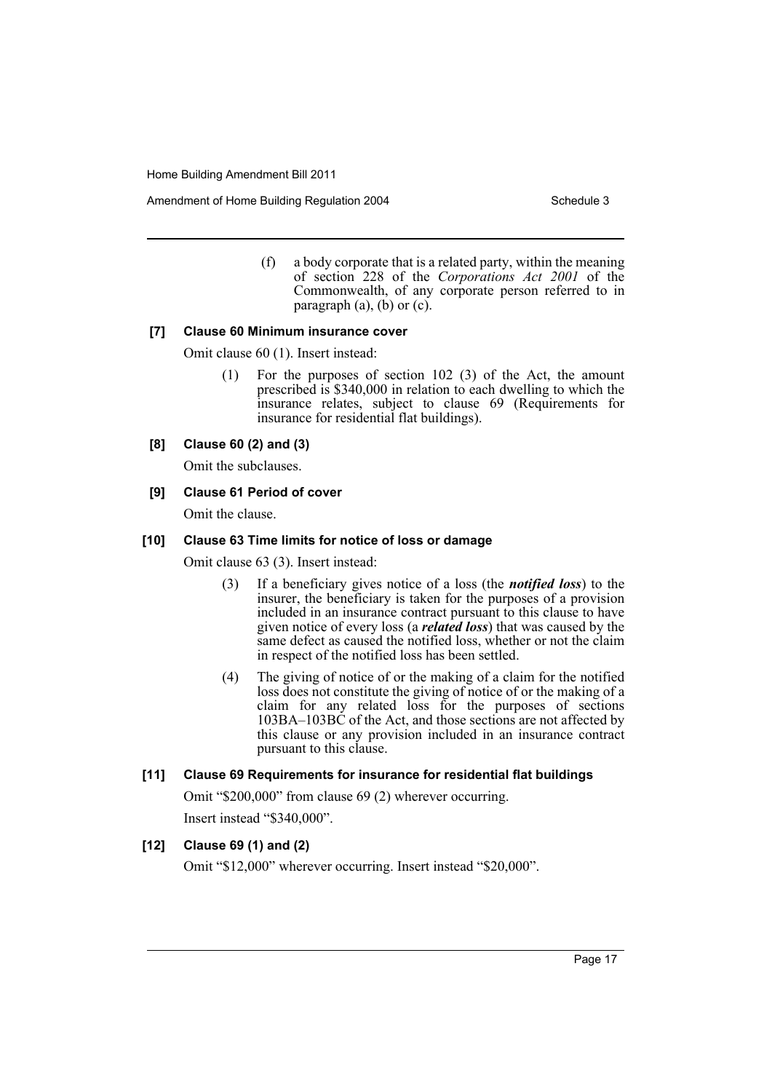Amendment of Home Building Regulation 2004 Schedule 3

(f) a body corporate that is a related party, within the meaning of section 228 of the *Corporations Act 2001* of the Commonwealth, of any corporate person referred to in paragraph  $(a)$ ,  $(b)$  or  $(c)$ .

#### **[7] Clause 60 Minimum insurance cover**

Omit clause 60 (1). Insert instead:

(1) For the purposes of section 102 (3) of the Act, the amount prescribed is \$340,000 in relation to each dwelling to which the insurance relates, subject to clause 69 (Requirements for insurance for residential flat buildings).

# **[8] Clause 60 (2) and (3)**

Omit the subclauses.

# **[9] Clause 61 Period of cover**

Omit the clause.

# **[10] Clause 63 Time limits for notice of loss or damage**

Omit clause 63 (3). Insert instead:

- (3) If a beneficiary gives notice of a loss (the *notified loss*) to the insurer, the beneficiary is taken for the purposes of a provision included in an insurance contract pursuant to this clause to have given notice of every loss (a *related loss*) that was caused by the same defect as caused the notified loss, whether or not the claim in respect of the notified loss has been settled.
- (4) The giving of notice of or the making of a claim for the notified loss does not constitute the giving of notice of or the making of a claim for any related loss for the purposes of sections 103BA–103BC of the Act, and those sections are not affected by this clause or any provision included in an insurance contract pursuant to this clause.

# **[11] Clause 69 Requirements for insurance for residential flat buildings**

Omit "\$200,000" from clause 69 (2) wherever occurring. Insert instead "\$340,000".

# **[12] Clause 69 (1) and (2)**

Omit "\$12,000" wherever occurring. Insert instead "\$20,000".